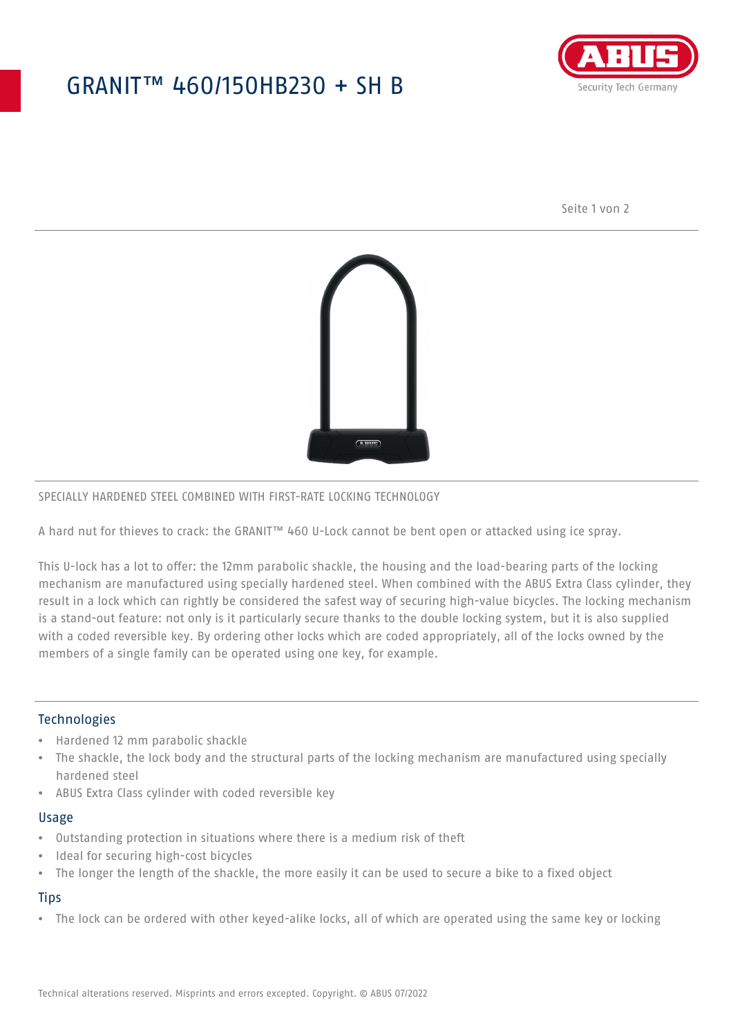## GRANIT™ 460/150HB230 + SH B



Seite 1 von 2



#### SPECIALLY HARDENED STEEL COMBINED WITH FIRST-RATE LOCKING TECHNOLOGY

A hard nut for thieves to crack: the GRANIT™ 460 U-Lock cannot be bent open or attacked using ice spray.

This U-lock has a lot to offer: the 12mm parabolic shackle, the housing and the load-bearing parts of the locking mechanism are manufactured using specially hardened steel. When combined with the ABUS Extra Class cylinder, they result in a lock which can rightly be considered the safest way of securing high-value bicycles. The locking mechanism is a stand-out feature: not only is it particularly secure thanks to the double locking system, but it is also supplied with a coded reversible key. By ordering other locks which are coded appropriately, all of the locks owned by the members of a single family can be operated using one key, for example.

#### **Technologies**

- Hardened 12 mm parabolic shackle
- The shackle, the lock body and the structural parts of the locking mechanism are manufactured using specially hardened steel
- ABUS Extra Class cylinder with coded reversible key

#### Usage

- Outstanding protection in situations where there is a medium risk of theft
- Ideal for securing high-cost bicycles
- The longer the length of the shackle, the more easily it can be used to secure a bike to a fixed object

### **Tips**

• The lock can be ordered with other keyed-alike locks, all of which are operated using the same key or locking